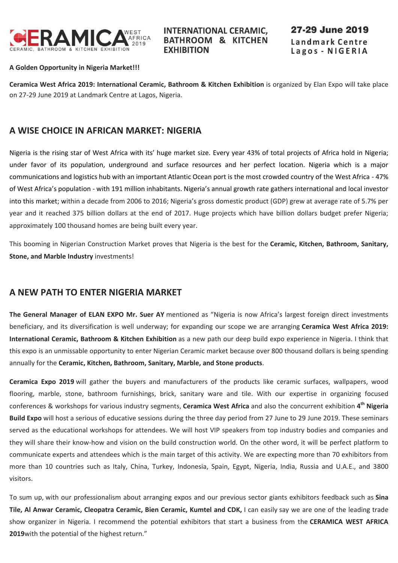

**INTERNATIONAL CERAMIC. BATHROOM & KITCHEN EXHIBITION** 

27-29 June 2019 Landmark Centre Lagos - NIGERIA

#### **A Golden Opportunity in Nigeria Market!!!**

**Ceramica West Africa 2019: International Ceramic, Bathroom & Kitchen Exhibition** is organized by Elan Expo will take place on 27-29 June 2019 at Landmark Centre at Lagos, Nigeria.

# **A WISE CHOICE IN AFRICAN MARKET: NIGERIA**

Nigeria is the rising star of West Africa with its' huge market size. Every year 43% of total projects of Africa hold in Nigeria; under favor of its population, underground and surface resources and her perfect location. Nigeria which is a major communications and logistics hub with an important Atlantic Ocean port is the most crowded country of the West Africa - 47% of West Africa's population - with 191 million inhabitants. Nigeria's annual growth rate gathers international and local investor into this market; within a decade from 2006 to 2016; Nigeria's gross domestic product (GDP) grew at average rate of 5.7% per year and it reached 375 billion dollars at the end of 2017. Huge projects which have billion dollars budget prefer Nigeria; approximately 100 thousand homes are being built every year.

This booming in Nigerian Construction Market proves that Nigeria is the best for the **Ceramic, Kitchen, Bathroom, Sanitary, Stone, and Marble Industry** investments!

#### **A NEW PATH TO ENTER NIGERIA MARKET**

**The General Manager of ELAN EXPO Mr. Suer AY** mentioned as "Nigeria is now Africa's largest foreign direct investments beneficiary, and its diversification is well underway; for expanding our scope we are arranging **Ceramica West Africa 2019: International Ceramic, Bathroom & Kitchen Exhibition** as a new path our deep build expo experience in Nigeria. I think that this expo is an unmissable opportunity to enter Nigerian Ceramic market because over 800 thousand dollars is being spending annually for the **Ceramic, Kitchen, Bathroom, Sanitary, Marble, and Stone products**.

**Ceramica Expo 2019** will gather the buyers and manufacturers of the products like ceramic surfaces, wallpapers, wood flooring, marble, stone, bathroom furnishings, brick, sanitary ware and tile. With our expertise in organizing focused conferences & workshops for various industry segments, **Ceramica West Africa** and also the concurrent exhibition **4 th Nigeria Build Expo** will host a serious of educative sessions during the three day period from 27 June to 29 June 2019. These seminars served as the educational workshops for attendees. We will host VIP speakers from top industry bodies and companies and they will share their know-how and vision on the build construction world. On the other word, it will be perfect platform to communicate experts and attendees which is the main target of this activity. We are expecting more than 70 exhibitors from more than 10 countries such as Italy, China, Turkey, Indonesia, Spain, Egypt, Nigeria, India, Russia and U.A.E., and 3800 visitors.

To sum up, with our professionalism about arranging expos and our previous sector giants exhibitors feedback such as **Sina Tile, Al Anwar Ceramic, Cleopatra Ceramic, Bien Ceramic, Kumtel and CDK,** I can easily say we are one of the leading trade show organizer in Nigeria. I recommend the potential exhibitors that start a business from the **CERAMICA WEST AFRICA 2019**with the potential of the highest return."